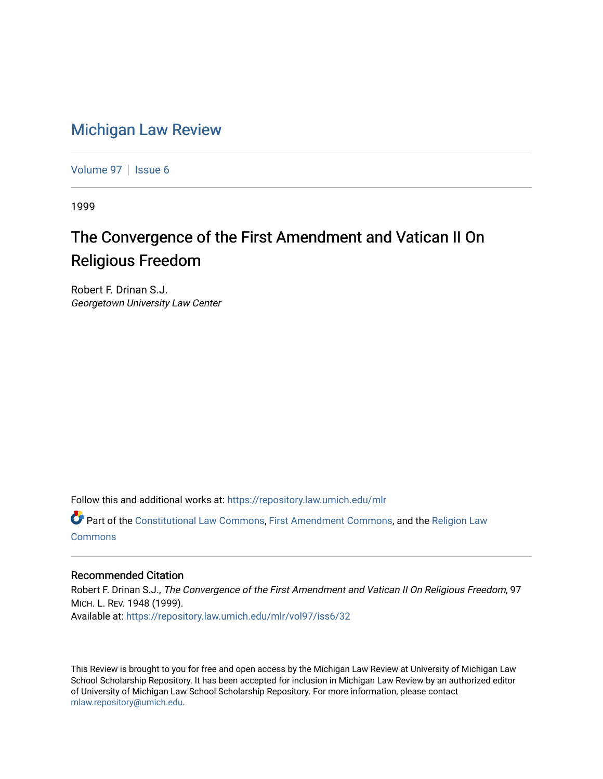## [Michigan Law Review](https://repository.law.umich.edu/mlr)

[Volume 97](https://repository.law.umich.edu/mlr/vol97) | [Issue 6](https://repository.law.umich.edu/mlr/vol97/iss6)

1999

# The Convergence of the First Amendment and Vatican II On Religious Freedom

Robert F. Drinan S.J. Georgetown University Law Center

Follow this and additional works at: [https://repository.law.umich.edu/mlr](https://repository.law.umich.edu/mlr?utm_source=repository.law.umich.edu%2Fmlr%2Fvol97%2Fiss6%2F32&utm_medium=PDF&utm_campaign=PDFCoverPages) 

Part of the [Constitutional Law Commons,](http://network.bepress.com/hgg/discipline/589?utm_source=repository.law.umich.edu%2Fmlr%2Fvol97%2Fiss6%2F32&utm_medium=PDF&utm_campaign=PDFCoverPages) [First Amendment Commons,](http://network.bepress.com/hgg/discipline/1115?utm_source=repository.law.umich.edu%2Fmlr%2Fvol97%2Fiss6%2F32&utm_medium=PDF&utm_campaign=PDFCoverPages) and the [Religion Law](http://network.bepress.com/hgg/discipline/872?utm_source=repository.law.umich.edu%2Fmlr%2Fvol97%2Fiss6%2F32&utm_medium=PDF&utm_campaign=PDFCoverPages) [Commons](http://network.bepress.com/hgg/discipline/872?utm_source=repository.law.umich.edu%2Fmlr%2Fvol97%2Fiss6%2F32&utm_medium=PDF&utm_campaign=PDFCoverPages)

#### Recommended Citation

Robert F. Drinan S.J., The Convergence of the First Amendment and Vatican II On Religious Freedom, 97 MICH. L. REV. 1948 (1999). Available at: [https://repository.law.umich.edu/mlr/vol97/iss6/32](https://repository.law.umich.edu/mlr/vol97/iss6/32?utm_source=repository.law.umich.edu%2Fmlr%2Fvol97%2Fiss6%2F32&utm_medium=PDF&utm_campaign=PDFCoverPages) 

This Review is brought to you for free and open access by the Michigan Law Review at University of Michigan Law School Scholarship Repository. It has been accepted for inclusion in Michigan Law Review by an authorized editor of University of Michigan Law School Scholarship Repository. For more information, please contact [mlaw.repository@umich.edu.](mailto:mlaw.repository@umich.edu)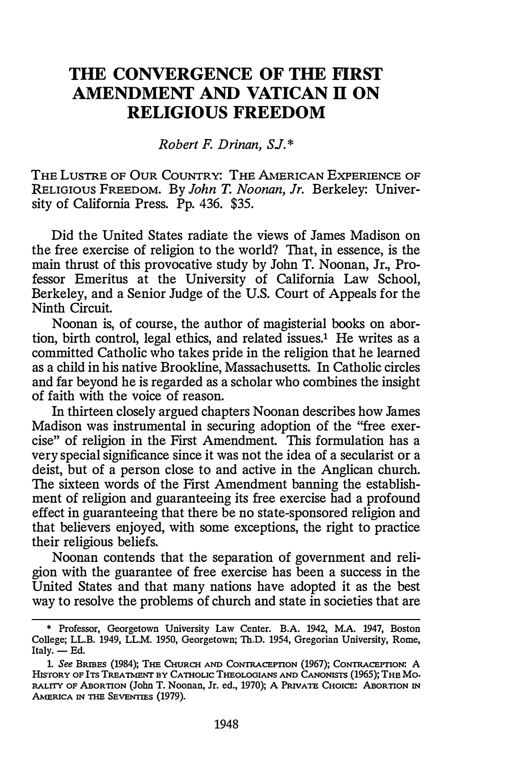### THE CONVERGENCE OF THE FIRST AMENDMENT AND VATICAN II ON RELIGIOUS FREEDOM

#### Robert F. Drinan, S.J. \*

THE LUSTRE OF OUR COUNTRY: THE AMERICAN EXPERIENCE OF RELIGIOUS FREEDOM. By John T. Noonan, Jr. Berkeley: University of California Press. Pp. 436. \$35.

Did the United States radiate the views of James Madison on the free exercise of religion to the world? That, in essence, is the main thrust of this provocative study by John T. Noonan, Jr., Professor Emeritus at the University of California Law School, Berkeley, and a Senior Judge of the U.S. Court of Appeals for the Ninth Circuit.

Noonan is, of course, the author of magisterial books on abortion, birth control, legal ethics, and related issues.1 He writes as a committed Catholic who takes pride in the religion that he learned as a child in his native Brookline, Massachusetts. In Catholic circles and far beyond he is regarded as a scholar who combines the insight of faith with the voice of reason.

In thirteen closely argued chapters Noonan describes how James Madison was instrumental in securing adoption of the "free exercise" of religion in the First Amendment. This formulation has a very special significance since it was not the idea of a secularist or a deist, but of a person close to and active in the Anglican church. The sixteen words of the First Amendment banning the establishment of religion and guaranteeing its free exercise had a profound effect in guaranteeing that there be no state-sponsored religion and that believers enjoyed, with some exceptions, the right to practice their religious beliefs.

Noonan contends that the separation of government and religion with the guarantee of free exercise has been a success in the United States and that many nations have adopted it as the best way to resolve the problems of church and state in societies that are

<sup>\*</sup> Professor, Georgetown University Law Center. B.A. 1942, M.A. 1947, Boston College; LL.B. 1949, LL.M. 1950, Georgetown; Th.D. 1954, Gregorian University, Rome, Italy.  $-$  Ed.

<sup>1.</sup> See BRIBES (1984); THE CHURCH AND CONTRACEPTION (1967); CONTRACEPTION: A HISTORY OF !TS TREATMENT BY CATHOLIC THEOLOGIANS AND CANONISTS (1965); THE Mo. RALITY OF ABORTION (John T. Noonan, Jr. ed., 1970); A PRIVATE CHOICE: ABORTION IN AMERICA IN THE SEVENTIES (1979).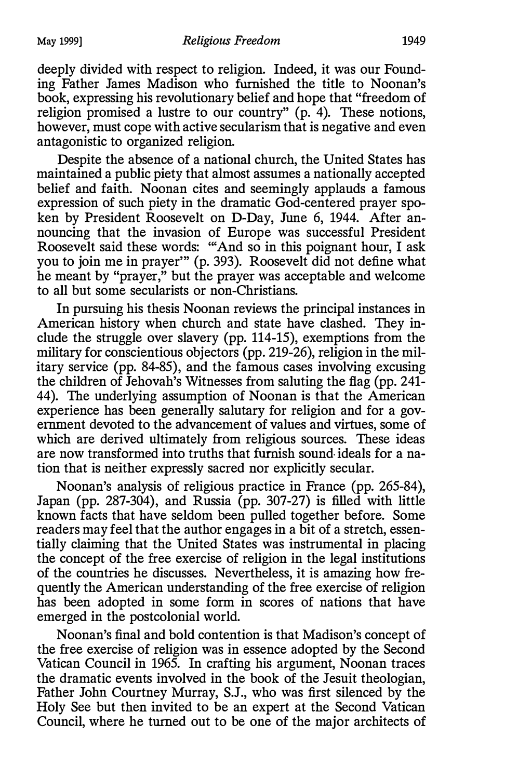deeply divided with respect to religion. Indeed, it was our Founding Father James Madison who furnished the title to Noonan's book, expressing his revolutionary belief and hope that "freedom of religion promised a lustre to our country" (p. 4). These notions, however, must cope with active secularism that is negative and even antagonistic to organized religion.

Despite the absence of a national church, the United States has maintained a public piety that almost assumes a nationally accepted belief and faith. Noonan cites and seemingly applauds a famous expression of such piety in the dramatic God-centered prayer spoken by President Roosevelt on D-Day, June 6, 1944. After announcing that the invasion of Europe was successful President Roosevelt said these words: "'And so in this poignant hour, I ask you to join me in prayer"' (p. 393). Roosevelt did not define what he meant by "prayer," but the prayer was acceptable and welcome to all but some secularists or non-Christians.

In pursuing his thesis Noonan reviews the principal instances in American history when church and state have clashed. They include the struggle over slavery (pp. 114-15), exemptions from the military for conscientious objectors (pp. 219-26), religion in the military service (pp. 84-85), and the famous cases involving excusing the children of Jehovah's Witnesses from saluting the flag (pp. 241- 44). The underlying assumption of Noonan is that the American experience has been generally salutary for religion and for a government devoted to the advancement of values and virtues, some of which are derived ultimately from religious sources. These ideas are now transformed into truths that furnish sound- ideals for a nation that is neither expressly sacred nor explicitly secular.

Noonan's analysis of religious practice in France (pp. 265-84), Japan (pp. 287-304), and Russia (pp. 307-27) is filled with little known facts that have seldom been pulled together before. Some readers may feel that the author engages in a bit of a stretch, essentially claiming that the United States was instrumental in placing the concept of the free exercise of religion in the legal institutions of the countries he discusses. Nevertheless, it is amazing how frequently the American understanding of the free exercise of religion has been adopted in some form in scores of nations that have emerged in the postcolonial world.

Noonan's final and bold contention is that Madison's concept of the free exercise of religion was in essence adopted by the Second Vatican Council in 1965. In crafting his argument, Noonan traces the dramatic events involved in the book of the Jesuit theologian, Father John Courtney Murray, S.J., who was first silenced by the Holy See but then invited to be an expert at the Second Vatican Council, where he turned out to be one of the major architects of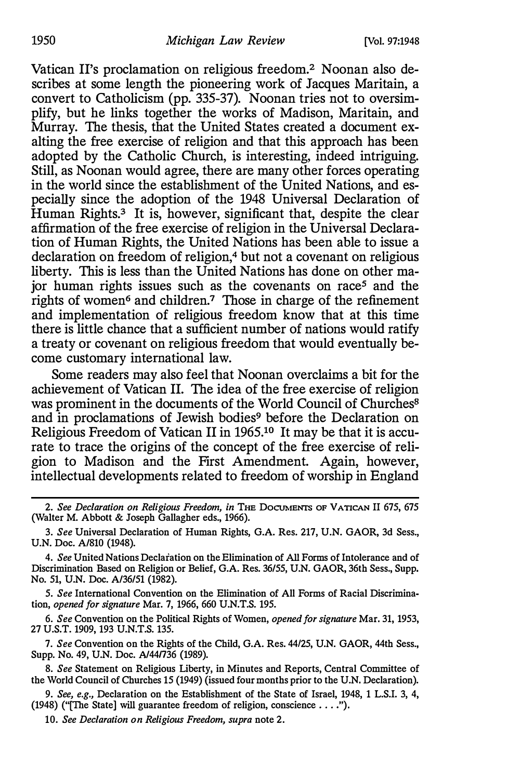Vatican II's proclamation on religious freedom.2 Noonan also describes at some length the pioneering work of Jacques Maritain, a convert to Catholicism (pp. 335-37). Noonan tries not to oversimplify, but he links together the works of Madison, Maritain, and Murray. The thesis, that the United States created a document exalting the free exercise of religion and that this approach has been adopted by the Catholic Church, is interesting, indeed intriguing. Still, as Noonan would agree, there are many other forces operating in the world since the establishment of the United Nations, and especially since the adoption of the 1948 Universal Declaration of Human Rights.<sup>3</sup> It is, however, significant that, despite the clear affirmation of the free exercise of religion in the Universal Declaration of Human Rights, the United Nations has been able to issue a declaration on freedom of religion,<sup>4</sup> but not a covenant on religious liberty. This is less than the United Nations has done on other major human rights issues such as the covenants on race<sup>5</sup> and the rights of women<sup>6</sup> and children.<sup>7</sup> Those in charge of the refinement and implementation of religious freedom know that at this time there is little chance that a sufficient number of nations would ratify a treaty or covenant on religious freedom that would eventually become customary international law.

Some readers may also feel that Noonan overclaims a bit for the achievement of Vatican II. The idea of the free exercise of religion was prominent in the documents of the World Council of Churches<sup>8</sup> and in proclamations of Jewish bodies<sup>9</sup> before the Declaration on Religious Freedom of Vatican II in 1965.10 It may be that it is accurate to trace the origins of the concept of the free exercise of religion to Madison and the First Amendment. Again, however, intellectual developments related to freedom of worship in England

4. See United Nations Declaration on the Elimination of All Forms of Intolerance and of Discrimination Based on Religion or Belief, G.A. Res. 36/55, U.N. GAOR, 36th Sess., Supp. No. 51, U.N. Doc. A/36/51 (1982).

5. See International Convention on the Elimination of All Forms of Racial Discrimination, opened for signature Mar. 7, 1966, 660 U.N.T.S. 195.

6. See Convention on the Political Rights of Women, opened for signature Mar. 31, 1953, 27 U.S.T. 1909, 193 U.N.T.S. 135.

7. See Convention on the Rights of the Child, G.A. Res. 44125, U.N. GAOR, 44th Sess., Supp. No. 49, U.N. Doc. A/44/736 (1989).

8. See Statement on Religious Liberty, in Minutes and Reports, Central Committee of the World Council of Churches 15 (1949) (issued four months prior to the U.N. Declaration).

9. See, e.g., Declaration on the Establishment of the State of Israel, 1948, 1 L.S.I. 3, 4, (1948) ("[The State] will guarantee freedom of religion, conscience ...• ").

10. See Declaration on Religious Freedom, supra note 2.

<sup>2.</sup> See Declaration on Religious Freedom, in THE DOCUMENTS OF VATICAN II 675, 675 (Waiter M. Abbott & Joseph Gallagher eds., 1966).

<sup>3.</sup> See Universal Declaration of Human Rights, G.A. Res. 217, U.N. GAOR, 3d Sess., U.N. Doc. A/810 (1948).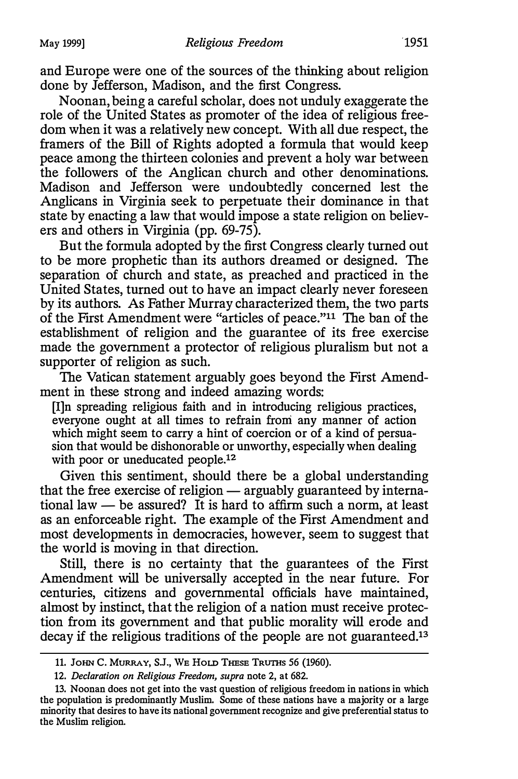and Europe were one of the sources of the thinking about religion done by Jefferson, Madison, and the first Congress.

Noonan, being a careful scholar, does not unduly exaggerate the role of the United States as promoter of the idea of religious freedom when it was a relatively new concept. With all due respect, the framers of the Bill of Rights adopted a formula that would keep peace among the thirteen colonies and prevent a holy war between the followers of the Anglican church and other denominations. Madison and Jefferson were undoubtedly concerned lest the Anglicans in Virginia seek to perpetuate their dominance in that state by enacting a law that would impose a state religion on believers and others in Virginia (pp. 69-75).

But the formula adopted by the first Congress clearly turned out to be more prophetic than its authors dreamed or designed. The separation of church and state, as preached and practiced in the United States, turned out to have an impact clearly never foreseen by its authors. As Father Murray characterized them, the two parts of the First Amendment were "articles of peace."11 The ban of the establishment of religion and the guarantee of its free exercise made the government a protector of religious pluralism but not a supporter of religion as such.

The Vatican statement arguably goes beyond the First Amendment in these strong and indeed amazing words:

[I]n spreading religious faith and in introducing religious practices, everyone ought at all times to refrain from any manner of action which might seem to carry a hint of coercion or of a kind of persuasion that would be dishonorable or unworthy, especially when dealing with poor or uneducated people.<sup>12</sup>

Given this sentiment, should there be a global understanding that the free exercise of religion  $-$  arguably guaranteed by international law  $-$  be assured? It is hard to affirm such a norm, at least as an enforceable right. The example of the First Amendment and most developments in democracies, however, seem to suggest that the world is moving in that direction.

Still, there is no certainty that the guarantees of the First Amendment will be universally accepted in the near future. For centuries, citizens and governmental officials have maintained, almost by instinct, that the religion of a nation must receive protection from its government and that public morality will erode and decay if the religious traditions of the people are not guaranteed.<sup>13</sup>

<sup>11.</sup> JOHN c. MURRAY, SJ., WE HOLD THESE TRUTHS 56 (1960).

<sup>12.</sup> Declaration on Religious Freedom, supra note 2, at 682.

<sup>13.</sup> Noonan does not get into the vast question of religious freedom in nations in which the population is predominantly Muslim. Some of these nations have a majority or a large minority that desires to have its national government recognize and give preferential status to the Muslim religion.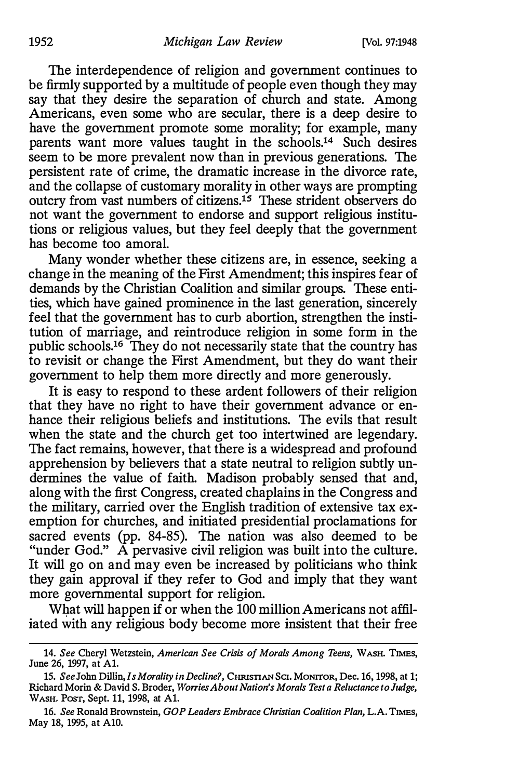The interdependence of religion and government continues to be firmly supported by a multitude of people even though they may say that they desire the separation of church and state. Among Americans, even some who are secular, there is a deep desire to have the government promote some morality; for example, many parents want more values taught in the schools.14 Such desires seem to be more prevalent now than in previous generations. The persistent rate of crime, the dramatic increase in the divorce rate, and the collapse of customary morality in other ways are prompting outcry from vast numbers of citizens.15 These strident observers do not want the government to endorse and support religious institutions or religious values, but they feel deeply that the government has become too amoral.

Many wonder whether these citizens are, in essence, seeking a change in the meaning of the First Amendment; this inspires fear of demands by the Christian Coalition and similar groups. These entities, which have gained prominence in the last generation, sincerely feel that the government has to curb abortion, strengthen the institution of marriage, and reintroduce religion in some form in the public schools.16 They do not necessarily state that the country has to revisit or change the First Amendment, but they do want their government to help them more directly and more generously.

It is easy to respond to these ardent followers of their religion that they have no right to have their government advance or enhance their religious beliefs and institutions. The evils that result when the state and the church get too intertwined are legendary. The fact remains, however, that there is a widespread and profound apprehension by believers that a state neutral to religion subtly undermines the value of faith. Madison probably sensed that and, along with the first Congress, created chaplains in the Congress and the military, carried over the English tradition of extensive tax exemption for churches, and initiated presidential proclamations for sacred events (pp. 84-85). The nation was also deemed to be "under God." A pervasive civil religion was built into the culture. It will go on and may even be increased by politicians who think they gain approval if they refer to God and imply that they want more governmental support for religion.

What will happen if or when the 100 million Americans not affiliated with any religious body become more insistent that their free

<sup>14.</sup> See Cheryl Wetzstein, American See Crisis of Morals Among Teens, WASH. TIMES, June 26, 1997, at Al.

<sup>15.</sup> See John Dillin, Is Morality in Decline?, CHRISTIAN SCI. MONITOR, Dec. 16, 1998, at 1; Richard Morin & David S. Broder, Worries About Nation's Morals Test a Reluctance to Judge, WASH. PoST, Sept. 11, 1998, at Al.

<sup>16.</sup> See Ronald Brownstein, GOP Leaders Embrace Christian Coalition Plan, L.A. TIMES, May 18, 1995, at AlO.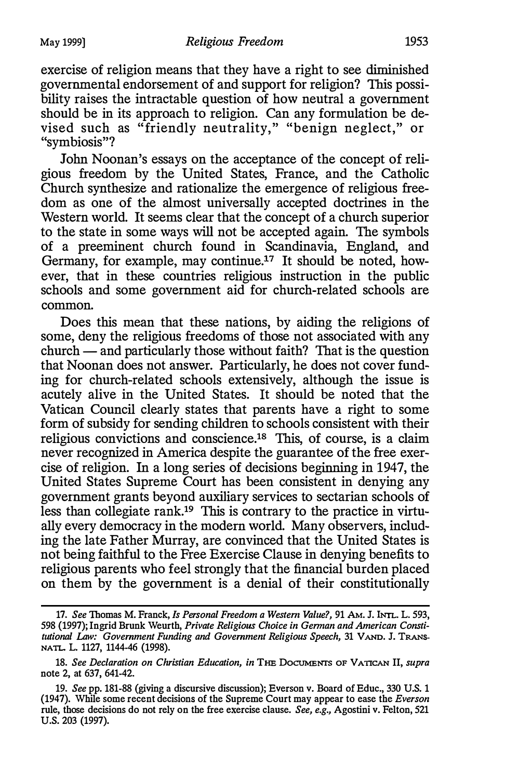exercise of religion means that they have a right to see diminished governmental endorsement of and support for religion? This possibility raises the intractable question of how neutral a government should be in its approach to religion. Can any formulation be devised such as "friendly neutrality," "benign neglect," or "symbiosis"?

John Noonan's essays on the acceptance of the concept of religious freedom by the United States, France, and the Catholic Church synthesize and rationalize the emergence of religious freedom as one of the almost universally accepted doctrines in the Western world. It seems clear that the concept of a church superior to the state in some ways will not be accepted again. The symbols of a preeminent church found in Scandinavia, England, and Germany, for example, may continue.17 It should be noted, however, that in these countries religious instruction in the public schools and some government aid for church-related schools are common.

Does this mean that these nations, by aiding the religions of some, deny the religious freedoms of those not associated with any church — and particularly those without faith? That is the question that Noonan does not answer. Particularly, he does not cover funding for church-related schools extensively, although the issue is acutely alive in the United States. It should be noted that the Vatican Council clearly states that parents have a right to some form of subsidy for sending children to schools consistent with their religious convictions and conscience.18 This, of course, is a claim never recognized in America despite the guarantee of the free exercise of religion. In a long series of decisions beginning in 1947, the United States Supreme Court has been consistent in denying any government grants beyond auxiliary services to sectarian schools of less than collegiate rank.19 This is contrary to the practice in virtually every democracy in the modem world. Many observers, including the late Father Murray, are convinced that the United States is not being faithful to the Free Exercise Clause in denying benefits to religious parents who feel strongly that the financial burden placed on them by the government is a denial of their constitutionally

<sup>17.</sup> See Thomas M. Franck, ls Personal Freedom a Western Value?, 91 AM. J. INrL. L. 593, 598 {1997); Ingrid Brunk Weurth, Private Religious Choice in German and American Constitutional Law: Government Funding and Government Religious Speech, 31 VAND. J. TRANS-NATL. L. 1127, 1144-46 {1998).

<sup>18.</sup> See Declaration on Christian Education, in THE DOCUMENTS OF VATICAN II, supra note 2, at 637, 641-42.

<sup>19.</sup> See pp. 181-88 (giving a discursive discussion); Everson v. Board of Educ., 330 U.S. 1 {1947). While some recent decisions of the Supreme Court may appear to ease the Everson rule, those decisions do not rely on the free exercise clause. See, e.g., Agostini v. Felton, 521 U.S. 203 (1997).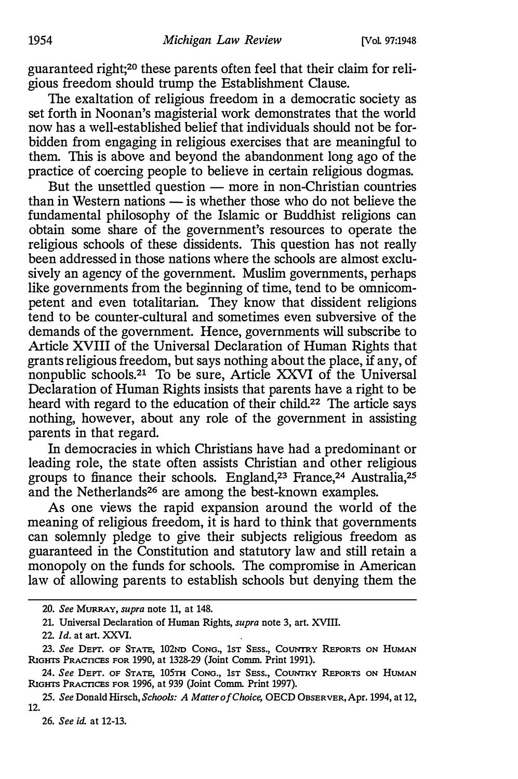guaranteed right;20 these parents often feel that their claim for religious freedom should trump the Establishment Clause.

The exaltation of religious freedom in a democratic society as set forth in Noonan's magisterial work demonstrates that the world now has a well-established belief that individuals should not be forbidden from engaging in religious exercises that are meaningful to them. This is above and beyond the abandonment long ago of the practice of coercing people to believe in certain religious dogmas.

But the unsettled question - more in non-Christian countries than in Western nations  $-$  is whether those who do not believe the fundamental philosophy of the Islamic or Buddhist religions can obtain some share of the government's resources to operate the religious schools of these dissidents. This question has not really been addressed in those nations where the schools are almost exclusively an agency of the government. Muslim governments, perhaps like governments from the beginning of time, tend to be omnicompetent and even totalitarian. They know that dissident religions tend to be counter-cultural and sometimes even subversive of the demands of the government. Hence, governments will subscribe to Article XVIII of the Universal Declaration of Human Rights that grants religious freedom, but says nothing about the place, if any, of nonpublic schools.21 To be sure, Article XXVI of the Universal Declaration of Human Rights insists that parents have a right to be heard with regard to the education of their child.22 The article says nothing, however, about any role of the government in assisting parents in that regard.

In democracies in which Christians have had a predominant or leading role, the state often assists Christian and other religious groups to finance their schools. England,<sup>23</sup> France,<sup>24</sup> Australia,<sup>25</sup> and the Netherlands<sup>26</sup> are among the best-known examples.

As one views the rapid expansion around the world of the meaning of religious freedom, it is hard to think that governments can solemnly pledge to give their subjects religious freedom as guaranteed in the Constitution and statutory law and still retain a monopoly on the funds for schools. The compromise in American law of allowing parents to establish schools but denying them the

<sup>20.</sup> See MURRAY, supra note 11, at 148.

<sup>21.</sup> Universal Declaration of Human Rights, supra note 3, art. XVIII.

<sup>22.</sup> Id. at art. XXVI.

<sup>23.</sup> See DEPT. OF STATE, 102ND CONG., 1st SESS., COUNTRY REPORTS ON HUMAN RIGHTS PRACTICES FOR 1990, at 1328-29 (Joint Comm. Print 1991).

<sup>24.</sup> See DEPT. OF STATE, 105TH CONG., 1st SESS., COUNTRY REPORTS ON HUMAN RIGHTS PRACTICES FOR 1996, at 939 (Joint Comm. Print 1997).

<sup>25.</sup> See Donald Hirsch, Schools: A Matter of Choice, OECD OBSERVER, Apr. 1994, at 12, 12.

<sup>26.</sup> See id. at 12-13.